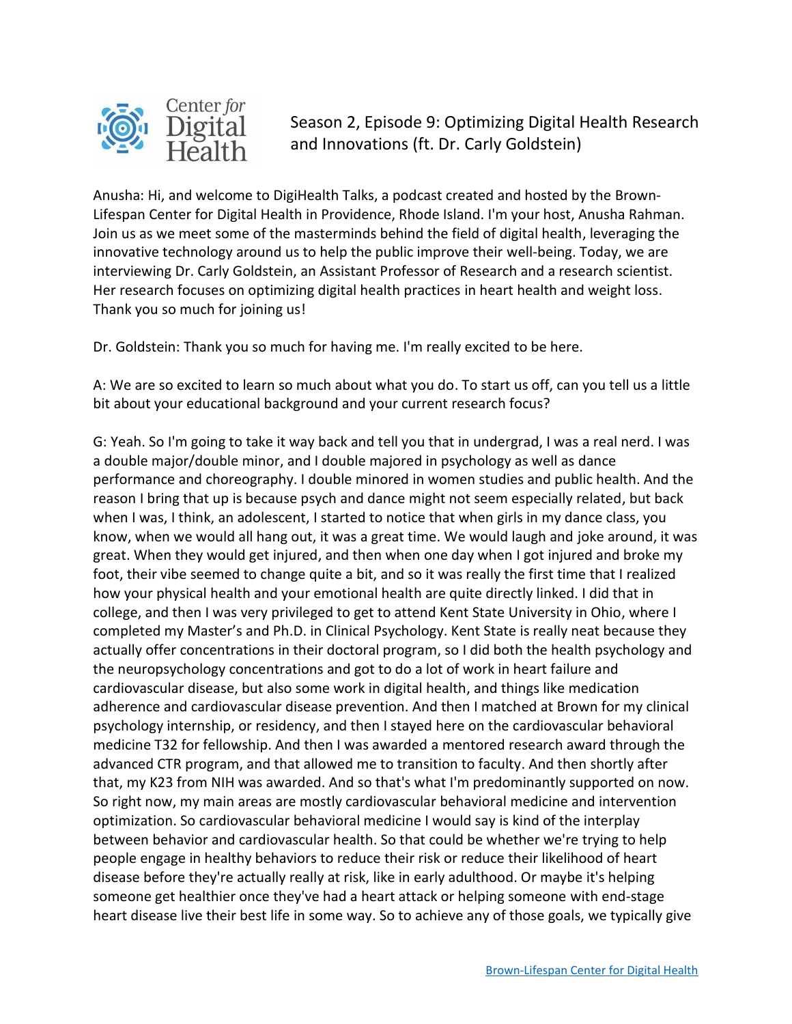

Season 2, Episode 9: Optimizing Digital Health Research and Innovations (ft. Dr. Carly Goldstein)

Anusha: Hi, and welcome to DigiHealth Talks, a podcast created and hosted by the Brown-Lifespan Center for Digital Health in Providence, Rhode Island. I'm your host, Anusha Rahman. Join us as we meet some of the masterminds behind the field of digital health, leveraging the innovative technology around us to help the public improve their well-being. Today, we are interviewing Dr. Carly Goldstein, an Assistant Professor of Research and a research scientist. Her research focuses on optimizing digital health practices in heart health and weight loss. Thank you so much for joining us!

Dr. Goldstein: Thank you so much for having me. I'm really excited to be here.

A: We are so excited to learn so much about what you do. To start us off, can you tell us a little bit about your educational background and your current research focus?

G: Yeah. So I'm going to take it way back and tell you that in undergrad, I was a real nerd. I was a double major/double minor, and I double majored in psychology as well as dance performance and choreography. I double minored in women studies and public health. And the reason I bring that up is because psych and dance might not seem especially related, but back when I was, I think, an adolescent, I started to notice that when girls in my dance class, you know, when we would all hang out, it was a great time. We would laugh and joke around, it was great. When they would get injured, and then when one day when I got injured and broke my foot, their vibe seemed to change quite a bit, and so it was really the first time that I realized how your physical health and your emotional health are quite directly linked. I did that in college, and then I was very privileged to get to attend Kent State University in Ohio, where I completed my Master's and Ph.D. in Clinical Psychology. Kent State is really neat because they actually offer concentrations in their doctoral program, so I did both the health psychology and the neuropsychology concentrations and got to do a lot of work in heart failure and cardiovascular disease, but also some work in digital health, and things like medication adherence and cardiovascular disease prevention. And then I matched at Brown for my clinical psychology internship, or residency, and then I stayed here on the cardiovascular behavioral medicine T32 for fellowship. And then I was awarded a mentored research award through the advanced CTR program, and that allowed me to transition to faculty. And then shortly after that, my K23 from NIH was awarded. And so that's what I'm predominantly supported on now. So right now, my main areas are mostly cardiovascular behavioral medicine and intervention optimization. So cardiovascular behavioral medicine I would say is kind of the interplay between behavior and cardiovascular health. So that could be whether we're trying to help people engage in healthy behaviors to reduce their risk or reduce their likelihood of heart disease before they're actually really at risk, like in early adulthood. Or maybe it's helping someone get healthier once they've had a heart attack or helping someone with end-stage heart disease live their best life in some way. So to achieve any of those goals, we typically give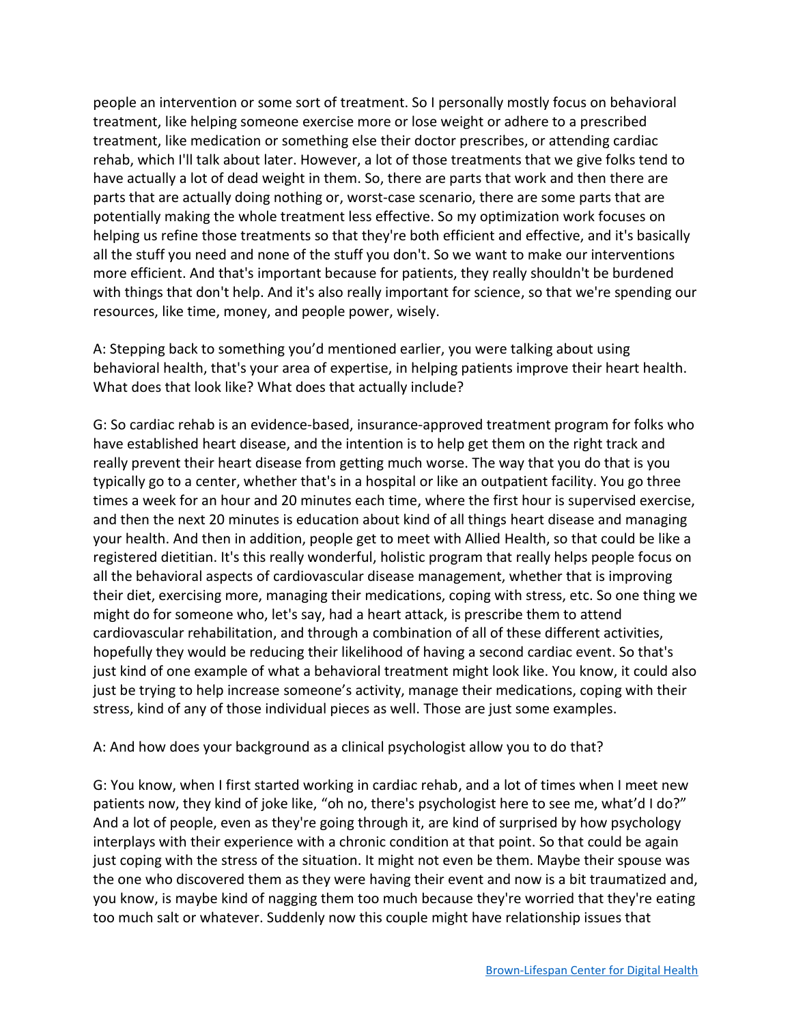people an intervention or some sort of treatment. So I personally mostly focus on behavioral treatment, like helping someone exercise more or lose weight or adhere to a prescribed treatment, like medication or something else their doctor prescribes, or attending cardiac rehab, which I'll talk about later. However, a lot of those treatments that we give folks tend to have actually a lot of dead weight in them. So, there are parts that work and then there are parts that are actually doing nothing or, worst-case scenario, there are some parts that are potentially making the whole treatment less effective. So my optimization work focuses on helping us refine those treatments so that they're both efficient and effective, and it's basically all the stuff you need and none of the stuff you don't. So we want to make our interventions more efficient. And that's important because for patients, they really shouldn't be burdened with things that don't help. And it's also really important for science, so that we're spending our resources, like time, money, and people power, wisely.

A: Stepping back to something you'd mentioned earlier, you were talking about using behavioral health, that's your area of expertise, in helping patients improve their heart health. What does that look like? What does that actually include?

G: So cardiac rehab is an evidence-based, insurance-approved treatment program for folks who have established heart disease, and the intention is to help get them on the right track and really prevent their heart disease from getting much worse. The way that you do that is you typically go to a center, whether that's in a hospital or like an outpatient facility. You go three times a week for an hour and 20 minutes each time, where the first hour is supervised exercise, and then the next 20 minutes is education about kind of all things heart disease and managing your health. And then in addition, people get to meet with Allied Health, so that could be like a registered dietitian. It's this really wonderful, holistic program that really helps people focus on all the behavioral aspects of cardiovascular disease management, whether that is improving their diet, exercising more, managing their medications, coping with stress, etc. So one thing we might do for someone who, let's say, had a heart attack, is prescribe them to attend cardiovascular rehabilitation, and through a combination of all of these different activities, hopefully they would be reducing their likelihood of having a second cardiac event. So that's just kind of one example of what a behavioral treatment might look like. You know, it could also just be trying to help increase someone's activity, manage their medications, coping with their stress, kind of any of those individual pieces as well. Those are just some examples.

## A: And how does your background as a clinical psychologist allow you to do that?

G: You know, when I first started working in cardiac rehab, and a lot of times when I meet new patients now, they kind of joke like, "oh no, there's psychologist here to see me, what'd I do?" And a lot of people, even as they're going through it, are kind of surprised by how psychology interplays with their experience with a chronic condition at that point. So that could be again just coping with the stress of the situation. It might not even be them. Maybe their spouse was the one who discovered them as they were having their event and now is a bit traumatized and, you know, is maybe kind of nagging them too much because they're worried that they're eating too much salt or whatever. Suddenly now this couple might have relationship issues that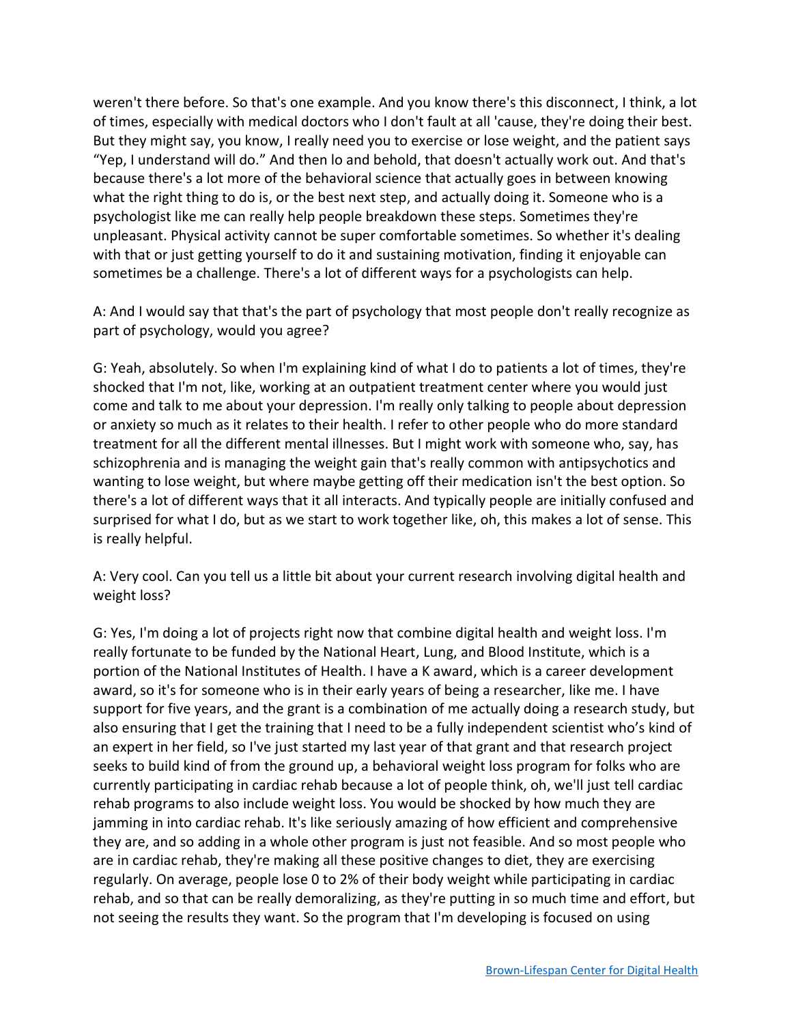weren't there before. So that's one example. And you know there's this disconnect, I think, a lot of times, especially with medical doctors who I don't fault at all 'cause, they're doing their best. But they might say, you know, I really need you to exercise or lose weight, and the patient says "Yep, I understand will do." And then lo and behold, that doesn't actually work out. And that's because there's a lot more of the behavioral science that actually goes in between knowing what the right thing to do is, or the best next step, and actually doing it. Someone who is a psychologist like me can really help people breakdown these steps. Sometimes they're unpleasant. Physical activity cannot be super comfortable sometimes. So whether it's dealing with that or just getting yourself to do it and sustaining motivation, finding it enjoyable can sometimes be a challenge. There's a lot of different ways for a psychologists can help.

A: And I would say that that's the part of psychology that most people don't really recognize as part of psychology, would you agree?

G: Yeah, absolutely. So when I'm explaining kind of what I do to patients a lot of times, they're shocked that I'm not, like, working at an outpatient treatment center where you would just come and talk to me about your depression. I'm really only talking to people about depression or anxiety so much as it relates to their health. I refer to other people who do more standard treatment for all the different mental illnesses. But I might work with someone who, say, has schizophrenia and is managing the weight gain that's really common with antipsychotics and wanting to lose weight, but where maybe getting off their medication isn't the best option. So there's a lot of different ways that it all interacts. And typically people are initially confused and surprised for what I do, but as we start to work together like, oh, this makes a lot of sense. This is really helpful.

A: Very cool. Can you tell us a little bit about your current research involving digital health and weight loss?

G: Yes, I'm doing a lot of projects right now that combine digital health and weight loss. I'm really fortunate to be funded by the National Heart, Lung, and Blood Institute, which is a portion of the National Institutes of Health. I have a K award, which is a career development award, so it's for someone who is in their early years of being a researcher, like me. I have support for five years, and the grant is a combination of me actually doing a research study, but also ensuring that I get the training that I need to be a fully independent scientist who's kind of an expert in her field, so I've just started my last year of that grant and that research project seeks to build kind of from the ground up, a behavioral weight loss program for folks who are currently participating in cardiac rehab because a lot of people think, oh, we'll just tell cardiac rehab programs to also include weight loss. You would be shocked by how much they are jamming in into cardiac rehab. It's like seriously amazing of how efficient and comprehensive they are, and so adding in a whole other program is just not feasible. And so most people who are in cardiac rehab, they're making all these positive changes to diet, they are exercising regularly. On average, people lose 0 to 2% of their body weight while participating in cardiac rehab, and so that can be really demoralizing, as they're putting in so much time and effort, but not seeing the results they want. So the program that I'm developing is focused on using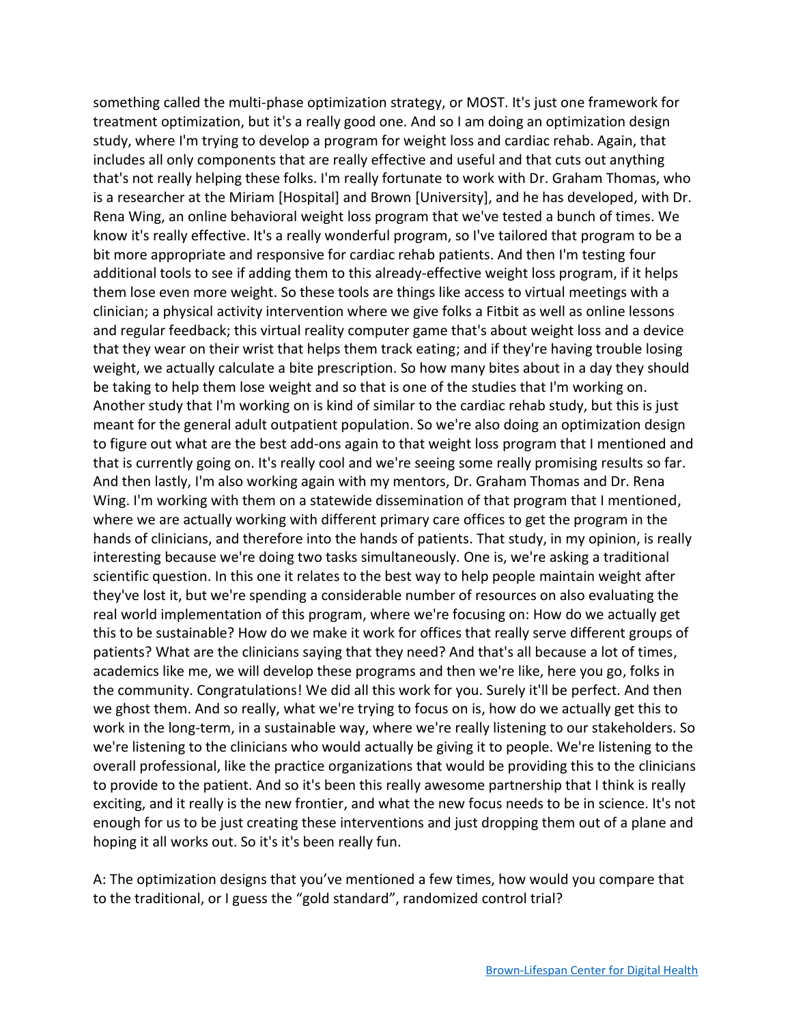something called the multi-phase optimization strategy, or MOST. It's just one framework for treatment optimization, but it's a really good one. And so I am doing an optimization design study, where I'm trying to develop a program for weight loss and cardiac rehab. Again, that includes all only components that are really effective and useful and that cuts out anything that's not really helping these folks. I'm really fortunate to work with Dr. Graham Thomas, who is a researcher at the Miriam [Hospital] and Brown [University], and he has developed, with Dr. Rena Wing, an online behavioral weight loss program that we've tested a bunch of times. We know it's really effective. It's a really wonderful program, so I've tailored that program to be a bit more appropriate and responsive for cardiac rehab patients. And then I'm testing four additional tools to see if adding them to this already-effective weight loss program, if it helps them lose even more weight. So these tools are things like access to virtual meetings with a clinician; a physical activity intervention where we give folks a Fitbit as well as online lessons and regular feedback; this virtual reality computer game that's about weight loss and a device that they wear on their wrist that helps them track eating; and if they're having trouble losing weight, we actually calculate a bite prescription. So how many bites about in a day they should be taking to help them lose weight and so that is one of the studies that I'm working on. Another study that I'm working on is kind of similar to the cardiac rehab study, but this is just meant for the general adult outpatient population. So we're also doing an optimization design to figure out what are the best add-ons again to that weight loss program that I mentioned and that is currently going on. It's really cool and we're seeing some really promising results so far. And then lastly, I'm also working again with my mentors, Dr. Graham Thomas and Dr. Rena Wing. I'm working with them on a statewide dissemination of that program that I mentioned, where we are actually working with different primary care offices to get the program in the hands of clinicians, and therefore into the hands of patients. That study, in my opinion, is really interesting because we're doing two tasks simultaneously. One is, we're asking a traditional scientific question. In this one it relates to the best way to help people maintain weight after they've lost it, but we're spending a considerable number of resources on also evaluating the real world implementation of this program, where we're focusing on: How do we actually get this to be sustainable? How do we make it work for offices that really serve different groups of patients? What are the clinicians saying that they need? And that's all because a lot of times, academics like me, we will develop these programs and then we're like, here you go, folks in the community. Congratulations! We did all this work for you. Surely it'll be perfect. And then we ghost them. And so really, what we're trying to focus on is, how do we actually get this to work in the long-term, in a sustainable way, where we're really listening to our stakeholders. So we're listening to the clinicians who would actually be giving it to people. We're listening to the overall professional, like the practice organizations that would be providing this to the clinicians to provide to the patient. And so it's been this really awesome partnership that I think is really exciting, and it really is the new frontier, and what the new focus needs to be in science. It's not enough for us to be just creating these interventions and just dropping them out of a plane and hoping it all works out. So it's it's been really fun.

A: The optimization designs that you've mentioned a few times, how would you compare that to the traditional, or I guess the "gold standard", randomized control trial?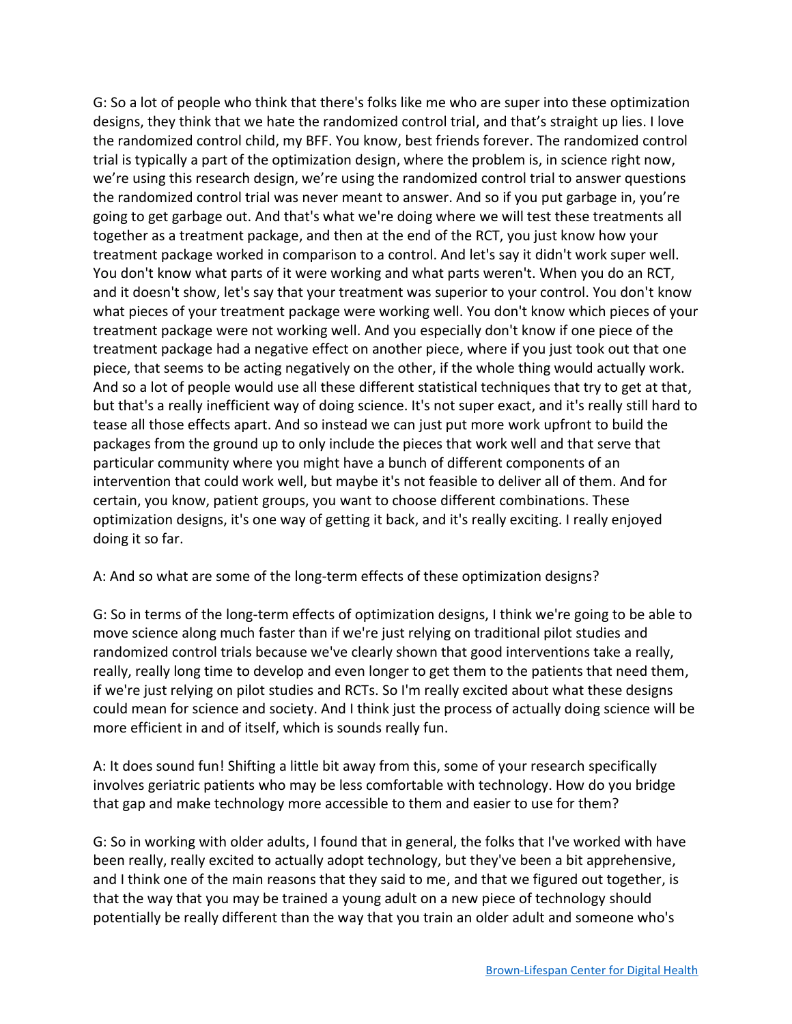G: So a lot of people who think that there's folks like me who are super into these optimization designs, they think that we hate the randomized control trial, and that's straight up lies. I love the randomized control child, my BFF. You know, best friends forever. The randomized control trial is typically a part of the optimization design, where the problem is, in science right now, we're using this research design, we're using the randomized control trial to answer questions the randomized control trial was never meant to answer. And so if you put garbage in, you're going to get garbage out. And that's what we're doing where we will test these treatments all together as a treatment package, and then at the end of the RCT, you just know how your treatment package worked in comparison to a control. And let's say it didn't work super well. You don't know what parts of it were working and what parts weren't. When you do an RCT, and it doesn't show, let's say that your treatment was superior to your control. You don't know what pieces of your treatment package were working well. You don't know which pieces of your treatment package were not working well. And you especially don't know if one piece of the treatment package had a negative effect on another piece, where if you just took out that one piece, that seems to be acting negatively on the other, if the whole thing would actually work. And so a lot of people would use all these different statistical techniques that try to get at that, but that's a really inefficient way of doing science. It's not super exact, and it's really still hard to tease all those effects apart. And so instead we can just put more work upfront to build the packages from the ground up to only include the pieces that work well and that serve that particular community where you might have a bunch of different components of an intervention that could work well, but maybe it's not feasible to deliver all of them. And for certain, you know, patient groups, you want to choose different combinations. These optimization designs, it's one way of getting it back, and it's really exciting. I really enjoyed doing it so far.

A: And so what are some of the long-term effects of these optimization designs?

G: So in terms of the long-term effects of optimization designs, I think we're going to be able to move science along much faster than if we're just relying on traditional pilot studies and randomized control trials because we've clearly shown that good interventions take a really, really, really long time to develop and even longer to get them to the patients that need them, if we're just relying on pilot studies and RCTs. So I'm really excited about what these designs could mean for science and society. And I think just the process of actually doing science will be more efficient in and of itself, which is sounds really fun.

A: It does sound fun! Shifting a little bit away from this, some of your research specifically involves geriatric patients who may be less comfortable with technology. How do you bridge that gap and make technology more accessible to them and easier to use for them?

G: So in working with older adults, I found that in general, the folks that I've worked with have been really, really excited to actually adopt technology, but they've been a bit apprehensive, and I think one of the main reasons that they said to me, and that we figured out together, is that the way that you may be trained a young adult on a new piece of technology should potentially be really different than the way that you train an older adult and someone who's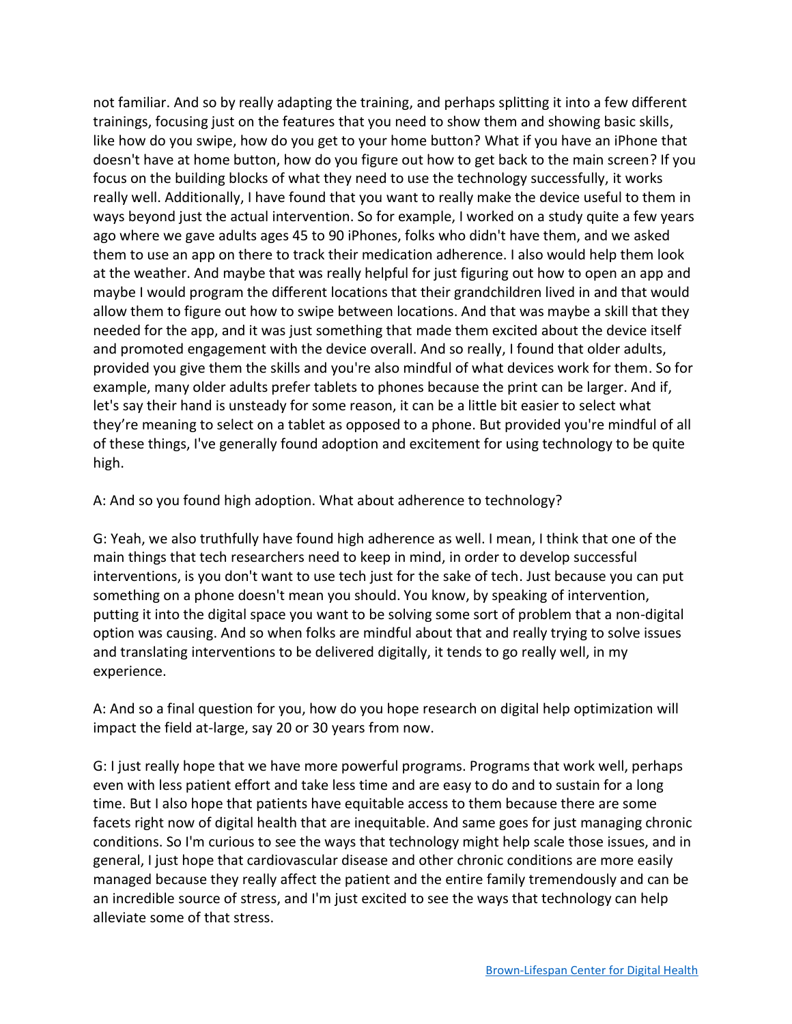not familiar. And so by really adapting the training, and perhaps splitting it into a few different trainings, focusing just on the features that you need to show them and showing basic skills, like how do you swipe, how do you get to your home button? What if you have an iPhone that doesn't have at home button, how do you figure out how to get back to the main screen? If you focus on the building blocks of what they need to use the technology successfully, it works really well. Additionally, I have found that you want to really make the device useful to them in ways beyond just the actual intervention. So for example, I worked on a study quite a few years ago where we gave adults ages 45 to 90 iPhones, folks who didn't have them, and we asked them to use an app on there to track their medication adherence. I also would help them look at the weather. And maybe that was really helpful for just figuring out how to open an app and maybe I would program the different locations that their grandchildren lived in and that would allow them to figure out how to swipe between locations. And that was maybe a skill that they needed for the app, and it was just something that made them excited about the device itself and promoted engagement with the device overall. And so really, I found that older adults, provided you give them the skills and you're also mindful of what devices work for them. So for example, many older adults prefer tablets to phones because the print can be larger. And if, let's say their hand is unsteady for some reason, it can be a little bit easier to select what they're meaning to select on a tablet as opposed to a phone. But provided you're mindful of all of these things, I've generally found adoption and excitement for using technology to be quite high.

A: And so you found high adoption. What about adherence to technology?

G: Yeah, we also truthfully have found high adherence as well. I mean, I think that one of the main things that tech researchers need to keep in mind, in order to develop successful interventions, is you don't want to use tech just for the sake of tech. Just because you can put something on a phone doesn't mean you should. You know, by speaking of intervention, putting it into the digital space you want to be solving some sort of problem that a non-digital option was causing. And so when folks are mindful about that and really trying to solve issues and translating interventions to be delivered digitally, it tends to go really well, in my experience.

A: And so a final question for you, how do you hope research on digital help optimization will impact the field at-large, say 20 or 30 years from now.

G: I just really hope that we have more powerful programs. Programs that work well, perhaps even with less patient effort and take less time and are easy to do and to sustain for a long time. But I also hope that patients have equitable access to them because there are some facets right now of digital health that are inequitable. And same goes for just managing chronic conditions. So I'm curious to see the ways that technology might help scale those issues, and in general, I just hope that cardiovascular disease and other chronic conditions are more easily managed because they really affect the patient and the entire family tremendously and can be an incredible source of stress, and I'm just excited to see the ways that technology can help alleviate some of that stress.